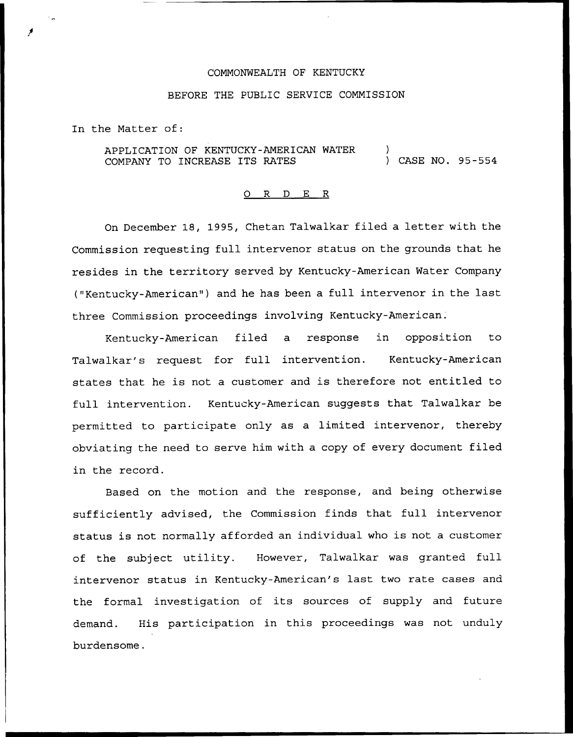## COMMONWEALTH OF KENTUCKY

## BEFORE THE PUBLIC SERVICE COMMISSION

In the Matter of:

APPLICATION OF KENTUCKY-AMERICAN WATER COMPANY TO INCREASE ITS RATES ) ) CASE NO. 95-554

## 0 R <sup>D</sup> E R

On December 18, 1995, Chetan Talwalkar filed a letter with the Commission requesting full intervenor status on the grounds that he resides in the territory served by Kentucky-American Water Company ("Kentucky-American" ) and he has been a full intervenor in the last three Commission proceedings involving Kentucky-American.

Kentucky-American filed a response in opposition to Talwalkar's request for full intervention. Kentucky-American states that he is not <sup>a</sup> customer and is therefore not entitled to full intervention. Kentucky-American suggests that Talwalkar be permitted to participate only as a limited intervenor, thereby obviating the need to serve him with a copy of every document filed in the record.

Based on the motion and the response, and being otherwise sufficiently advised, the Commission finds that full intervenor status is not normally afforded an individual who is not <sup>a</sup> customer of the subject utility. However, Talwalkar was granted full intervenor status in Kentucky-American's last two rate cases and the formal investigation of its sources of supply and future demand. His participation in this proceedings was not unduly burdensome.